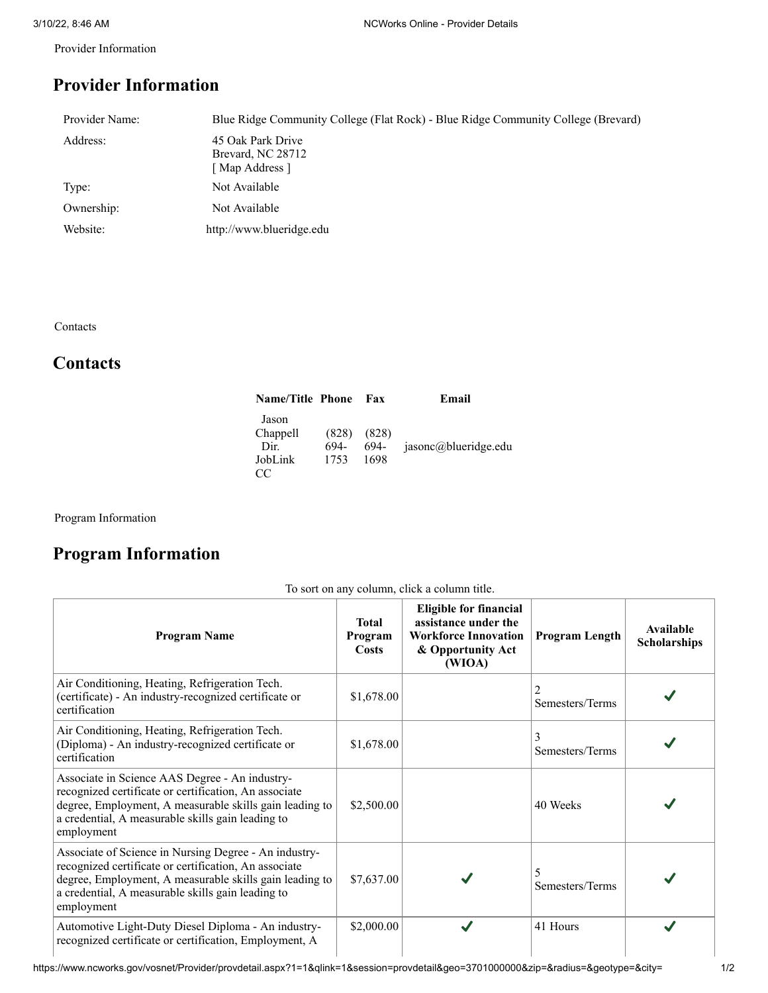Provider Information

## **Provider Information**

| Provider Name: | Blue Ridge Community College (Flat Rock) - Blue Ridge Community College (Brevard) |
|----------------|-----------------------------------------------------------------------------------|
| Address:       | 45 Oak Park Drive<br>Brevard, NC 28712<br>[ Map Address ]                         |
| Type:          | Not Available                                                                     |
| Ownership:     | Not Available                                                                     |
| Website:       | http://www.blueridge.edu                                                          |

Contacts

## **Contacts**

| <b>Name/Title Phone</b>                     |                       | Fax                   | Email                |
|---------------------------------------------|-----------------------|-----------------------|----------------------|
| Jason<br>Chappell<br>Dir.<br>JobLink<br>CC. | (828)<br>694-<br>1753 | (828)<br>694-<br>1698 | jasonc@blueridge.edu |

Program Information

## **Program Information**

| <b>Program Name</b>                                                                                                                                                                                                                          | <b>Total</b><br>Program<br>Costs | <b>Eligible for financial</b><br>assistance under the<br><b>Workforce Innovation</b><br>& Opportunity Act<br>(WIOA) | <b>Program Length</b> | Available<br><b>Scholarships</b> |
|----------------------------------------------------------------------------------------------------------------------------------------------------------------------------------------------------------------------------------------------|----------------------------------|---------------------------------------------------------------------------------------------------------------------|-----------------------|----------------------------------|
| Air Conditioning, Heating, Refrigeration Tech.<br>(certificate) - An industry-recognized certificate or<br>certification                                                                                                                     | \$1,678.00                       |                                                                                                                     | Semesters/Terms       |                                  |
| Air Conditioning, Heating, Refrigeration Tech.<br>(Diploma) - An industry-recognized certificate or<br>certification                                                                                                                         | \$1,678.00                       |                                                                                                                     | Semesters/Terms       |                                  |
| Associate in Science AAS Degree - An industry-<br>recognized certificate or certification, An associate<br>degree, Employment, A measurable skills gain leading to<br>a credential, A measurable skills gain leading to<br>employment        | \$2,500.00                       |                                                                                                                     | 40 Weeks              |                                  |
| Associate of Science in Nursing Degree - An industry-<br>recognized certificate or certification, An associate<br>degree, Employment, A measurable skills gain leading to<br>a credential, A measurable skills gain leading to<br>employment | \$7,637.00                       |                                                                                                                     | Semesters/Terms       |                                  |
| Automotive Light-Duty Diesel Diploma - An industry-<br>recognized certificate or certification, Employment, A                                                                                                                                | \$2,000.00                       | $\checkmark$                                                                                                        | 41 Hours              |                                  |